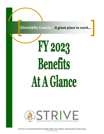**Dinwiddie County:** *A great place to work...*

# FY 2023 Benefits At A Glance

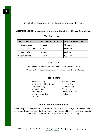**Payroll** is issued once a month - on the last working day of the month.

**Electronic Deposit** is a condition of employment for *all* Dinwiddie County employees.

#### **Vacation Leave**

| <b>Years of Service</b> | <b>Hours earned Per Month</b> | Hours Earned Per Year |
|-------------------------|-------------------------------|-----------------------|
| $o$ -5 years inclusive  | 8 hours                       | 96 hours              |
| 6-10 years inclusive    | 10 hours                      | 120 hours             |
| 11-15 years inclusive   | 12 hours                      | 144 hours             |
| 16 years or more        | 14 hours                      | 168 hours             |

#### **Sick Leave**

Employees earn 8 hours per month—unlimited accumulations.

*\*Fire protection employees please refer to the Personnel Manual for Leave Accruals*

#### **Paid Holidays**

New Year's Day **Columbus Day** Martin Luther King, Jr. Day Election Day Presidents' Day **Veterans' Day** Memorial Day **Thanksgiving** Juneteenth Day After Thanksgiving Independence Day Christmas Labor Day

### **Tuition Reimbursement Plan**

Provide eligible employees with the opportunity to obtain, maintain, or improve job-related capabilities through participation in courses of study at accredited colleges and organizations specializing in job and career-related education and training.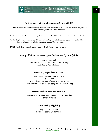

## **Retirement—Virginia Retirement System (VRS)**

*All employees are required to pay employee contributions in the amount of 5% of their creditable compensation each month on a pre-tax salary reduction basis.* 

**PLAN 1:** Employees whose membership date is prior to July 1, 2010 and were vested as of January 1, 2013.

**PLAN 2:** Employees whose membership date is from July 1, 2010 to December 31, 2013 or membership date prior to July 1, 2010 but were not vested as of January 1, 2013.

**HYBRID PLAN:** Employees whose membership date is January 1, 2014 or later.

#### **Group Life Insurance—Virginia Retirement System (VRS)**

County pays 100% Amounts equals two times your annual salary *(rounded up to the next \$1,000.00)*

#### **Voluntary Payroll Deductions**

Minnesota Optional Life Insurance Davis Vision Deferred Compensation (VALIC & Nationwide) Supplemental Insurance Services (Aflac & Colonial Life)

#### **Discounted Services & Incentives**

Free Access to Fitness Rooms located in various facilities Verizon Wireless

#### **Membership Eligibility**

Virginia Credit Union Fort Lee Federal Credit Union